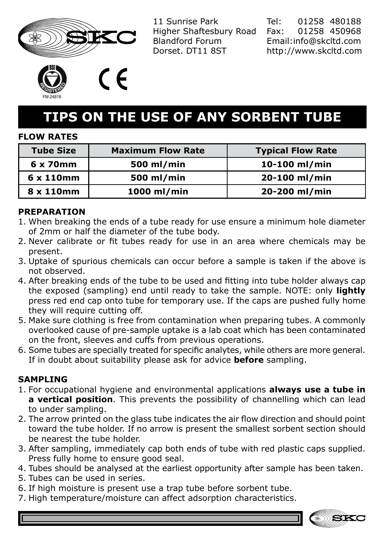

11 Sunrise Park Higher Shaftesbury Road Blandford Forum Dorset. DT11 8ST

Tel: 01258 480188 Fax: 01258 450968 Email:info@skcltd.com http://www.skcltd.com



(  $\epsilon$ 

# **TIPS ON THE USE OF ANY SORBENT TUBE**

## **FLOW RATES**

| <b>Tube Size</b>  | <b>Maximum Flow Rate</b> | <b>Typical Flow Rate</b> |
|-------------------|--------------------------|--------------------------|
| 6 x 70mm          | 500 ml/min               | 10-100 ml/min            |
| $6 \times 110$ mm | 500 ml/min               | 20-100 ml/min            |
| 8 x 110mm         | 1000 ml/min              | 20-200 ml/min            |

## **PREPARATION**

- 1. When breaking the ends of a tube ready for use ensure a minimum hole diameter of 2mm or half the diameter of the tube body.
- 2. Never calibrate or fit tubes ready for use in an area where chemicals may be present.
- 3. Uptake of spurious chemicals can occur before a sample is taken if the above is not observed.
- After breaking ends of the tube to be used and fitting into tube holder always cap 4. the exposed (sampling) end until ready to take the sample. NOTE: only **lightly** press red end cap onto tube for temporary use. If the caps are pushed fully home they will require cutting off.
- 5. Make sure clothing is free from contamination when preparing tubes. A commonly overlooked cause of pre-sample uptake is a lab coat which has been contaminated on the front, sleeves and cuffs from previous operations.
- 6. Some tubes are specially treated for specific analytes, while others are more general. If in doubt about suitability please ask for advice **before** sampling.

## **SAMPLING**

- 1. For occupational hygiene and environmental applications **always use a tube in a vertical position**. This prevents the possibility of channelling which can lead to under sampling.
- 2. The arrow printed on the glass tube indicates the air flow direction and should point toward the tube holder. If no arrow is present the smallest sorbent section should be nearest the tube holder.
- 3. After sampling, immediately cap both ends of tube with red plastic caps supplied. Press fully home to ensure good seal.
- 4. Tubes should be analysed at the earliest opportunity after sample has been taken.
- 5. Tubes can be used in series.
- 6. If high moisture is present use a trap tube before sorbent tube.
- 7. High temperature/moisture can affect adsorption characteristics.